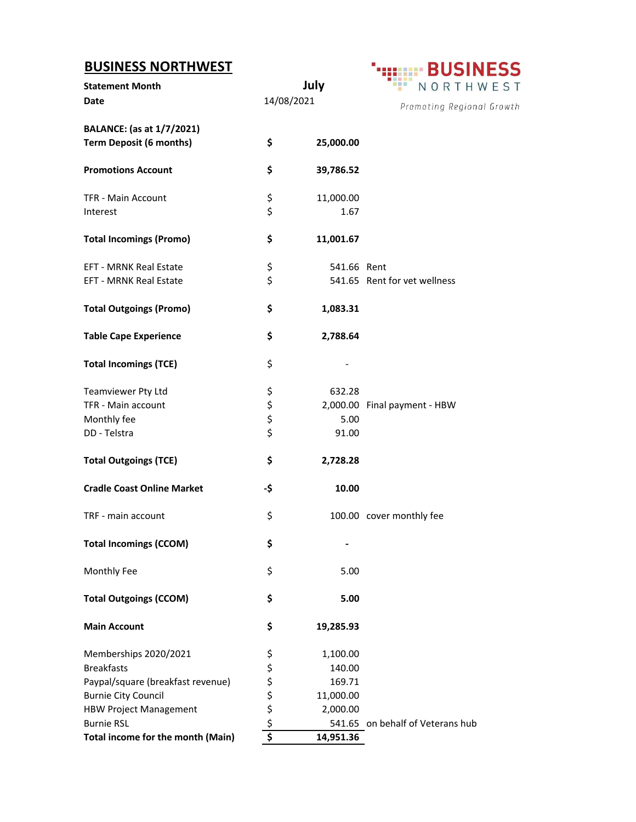**BUSINESS NORTHWEST**

**Statement Month July**



**Promoting Regional Growth** 

| Date                                                                                                                                           | 14/08/2021   |                                                       | Promoting Region                 |
|------------------------------------------------------------------------------------------------------------------------------------------------|--------------|-------------------------------------------------------|----------------------------------|
| <b>BALANCE:</b> (as at 1/7/2021)<br><b>Term Deposit (6 months)</b>                                                                             | \$           | 25,000.00                                             |                                  |
| <b>Promotions Account</b>                                                                                                                      | \$           | 39,786.52                                             |                                  |
| <b>TFR - Main Account</b><br>Interest                                                                                                          | \$<br>\$     | 11,000.00<br>1.67                                     |                                  |
| <b>Total Incomings (Promo)</b>                                                                                                                 | \$           | 11,001.67                                             |                                  |
| <b>EFT - MRNK Real Estate</b><br><b>EFT - MRNK Real Estate</b>                                                                                 | \$<br>\$     | 541.66 Rent                                           | 541.65 Rent for vet wellness     |
| <b>Total Outgoings (Promo)</b>                                                                                                                 | \$           | 1,083.31                                              |                                  |
| <b>Table Cape Experience</b>                                                                                                                   | \$           | 2,788.64                                              |                                  |
| <b>Total Incomings (TCE)</b>                                                                                                                   | \$           |                                                       |                                  |
| Teamviewer Pty Ltd<br>TFR - Main account<br>Monthly fee<br>DD - Telstra                                                                        | \$<br>\$\$\$ | 632.28<br>5.00<br>91.00                               | 2,000.00 Final payment - HBW     |
| <b>Total Outgoings (TCE)</b>                                                                                                                   | \$           | 2,728.28                                              |                                  |
| <b>Cradle Coast Online Market</b>                                                                                                              | -\$          | 10.00                                                 |                                  |
| TRF - main account                                                                                                                             | \$           |                                                       | 100.00 cover monthly fee         |
| <b>Total Incomings (CCOM)</b>                                                                                                                  | \$           |                                                       |                                  |
| Monthly Fee                                                                                                                                    | \$           | 5.00                                                  |                                  |
| <b>Total Outgoings (CCOM)</b>                                                                                                                  | \$           | 5.00                                                  |                                  |
| <b>Main Account</b>                                                                                                                            | \$           | 19,285.93                                             |                                  |
| Memberships 2020/2021<br><b>Breakfasts</b><br>Paypal/square (breakfast revenue)<br><b>Burnie City Council</b><br><b>HBW Project Management</b> | ややみ          | 1,100.00<br>140.00<br>169.71<br>11,000.00<br>2,000.00 |                                  |
| <b>Burnie RSL</b><br>Total income for the month (Main)                                                                                         | \$<br>\$     | 14,951.36                                             | 541.65 on behalf of Veterans hub |